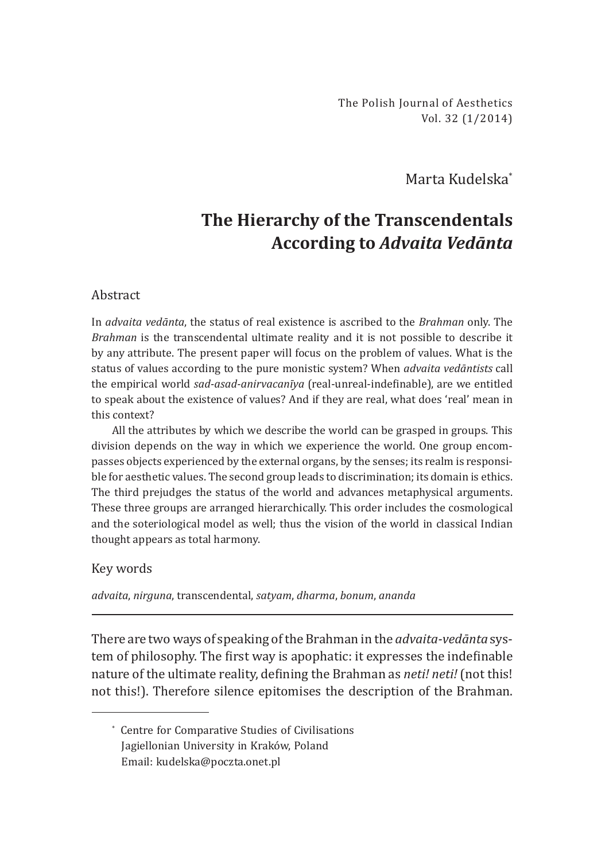The Polish Journal of Aesthetics Vol. 32 (1/2014)

Marta Kudelska\*

## **The Hierarchy of the Transcendentals According to** *Advaita Vedānta*

## Abstract

In *advaita vedānta*, the status of real existence is ascribed to the *Brahman* only. The *Brahman* is the transcendental ultimate reality and it is not possible to describe it by any attribute. The present paper will focus on the problem of values. What is the status of values according to the pure monistic system? When *advaita vedāntists* call the empirical world *sad-asad-anirvacanīya* (real-unreal-indefinable), are we entitled to speak about the existence of values? And if they are real, what does 'real' mean in this context?

All the attributes by which we describe the world can be grasped in groups. This division depends on the way in which we experience the world. One group encompasses objects experienced by the external organs, by the senses; its realm is responsible for aesthetic values. The second group leads to discrimination; its domain is ethics. The third prejudges the status of the world and advances metaphysical arguments. These three groups are arranged hierarchically. This order includes the cosmological and the soteriological model as well; thus the vision of the world in classical Indian thought appears as total harmony.

## Key words

*advaita*, *nirguna*, transcendental, *satyam*, *dharma*, *bonum*, *ananda*

There are two ways of speaking of the Brahman in the *advaita-vedānta* system of philosophy. The first way is apophatic: it expresses the indefinable nature of the ultimate reality, defining the Brahman as *neti! neti!* (not this! not this!). Therefore silence epitomises the description of the Brahman.

<sup>\*</sup> Centre for Comparative Studies of Civilisations Jagiellonian University in Kraków, Poland Email: kudelska@poczta.onet.pl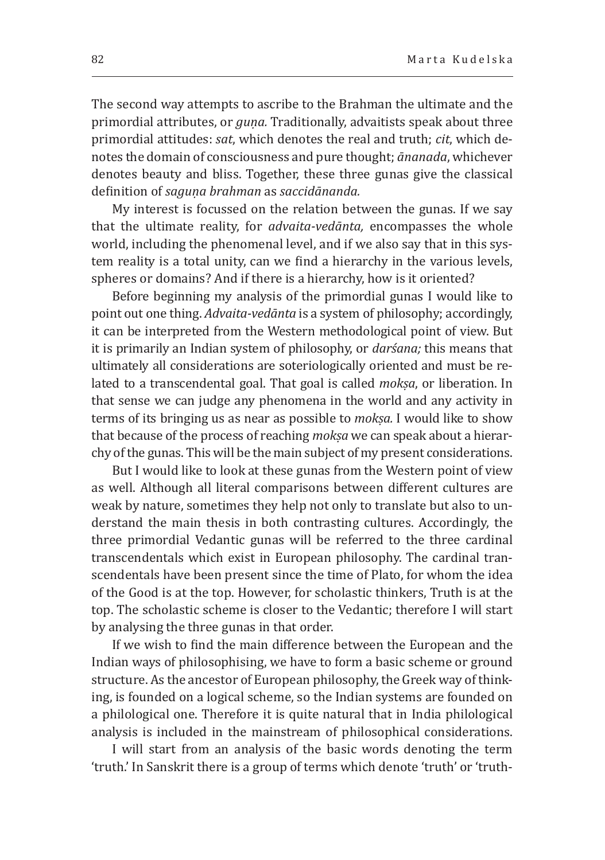The second way attempts to ascribe to the Brahman the ultimate and the primordial attributes, or *guṇa.* Traditionally, advaitists speak about three primordial attitudes: *sat*, which denotes the real and truth; *cit*, which denotes the domain of consciousness and pure thought; *ānanada*, whichever denotes beauty and bliss. Together, these three gunas give the classical definition of *saguṇa brahman* as *saccidānanda.*

My interest is focussed on the relation between the gunas. If we say that the ultimate reality, for *advaita-vedānta,* encompasses the whole world, including the phenomenal level, and if we also say that in this system reality is a total unity, can we find a hierarchy in the various levels, spheres or domains? And if there is a hierarchy, how is it oriented?

Before beginning my analysis of the primordial gunas I would like to point out one thing. *Advaita-vedānta* is a system of philosophy; accordingly, it can be interpreted from the Western methodological point of view. But it is primarily an Indian system of philosophy, or *darśana;* this means that ultimately all considerations are soteriologically oriented and must be related to a transcendental goal. That goal is called *mokṣa*, or liberation. In that sense we can judge any phenomena in the world and any activity in terms of its bringing us as near as possible to *mokṣa.* I would like to show that because of the process of reaching *mokṣa* we can speak about a hierarchy of the gunas. This will be the main subject of my present considerations.

But I would like to look at these gunas from the Western point of view as well. Although all literal comparisons between different cultures are weak by nature, sometimes they help not only to translate but also to understand the main thesis in both contrasting cultures. Accordingly, the three primordial Vedantic gunas will be referred to the three cardinal transcendentals which exist in European philosophy. The cardinal transcendentals have been present since the time of Plato, for whom the idea of the Good is at the top. However, for scholastic thinkers, Truth is at the top. The scholastic scheme is closer to the Vedantic; therefore I will start by analysing the three gunas in that order.

If we wish to find the main difference between the European and the Indian ways of philosophising, we have to form a basic scheme or ground structure. As the ancestor of European philosophy, the Greek way of thinking, is founded on a logical scheme, so the Indian systems are founded on a philological one. Therefore it is quite natural that in India philological analysis is included in the mainstream of philosophical considerations.

I will start from an analysis of the basic words denoting the term ʻtruth.' In Sanskrit there is a group of terms which denote 'truth' or 'truth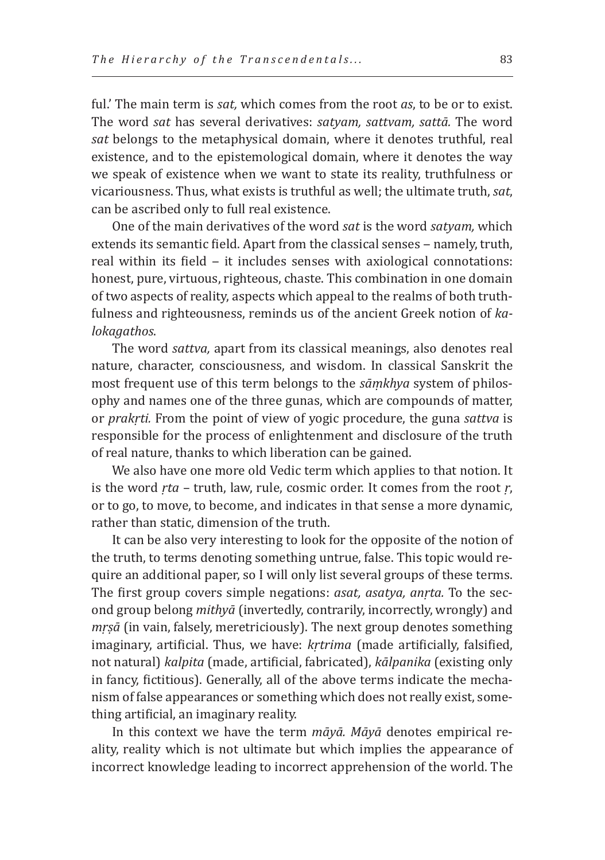ful.' The main term is *sat,* which comes from the root *as*, to be or to exist. The word *sat* has several derivatives: *satyam, sattvam, sattā.* The word *sat* belongs to the metaphysical domain, where it denotes truthful, real existence, and to the epistemological domain, where it denotes the way we speak of existence when we want to state its reality, truthfulness or vicariousness. Thus, what exists is truthful as well; the ultimate truth, *sat*, can be ascribed only to full real existence.

One of the main derivatives of the word *sat* is the word *satyam,* which extends its semantic field. Apart from the classical senses - namely, truth, real within its field - it includes senses with axiological connotations: honest, pure, virtuous, righteous, chaste. This combination in one domain of two aspects of reality, aspects which appeal to the realms of both truthfulness and righteousness, reminds us of the ancient Greek notion of *kalokagathos*.

The word *sattva,* apart from its classical meanings, also denotes real nature, character, consciousness, and wisdom. In classical Sanskrit the most frequent use of this term belongs to the *sāṃkhya* system of philosophy and names one of the three gunas, which are compounds of matter, or *prakṛti.* From the point of view of yogic procedure, the guna *sattva* is responsible for the process of enlightenment and disclosure of the truth of real nature, thanks to which liberation can be gained.

We also have one more old Vedic term which applies to that notion. It is the word *ṛta* – truth, law, rule, cosmic order. It comes from the root *ṛ*, or to go, to move, to become, and indicates in that sense a more dynamic, rather than static, dimension of the truth.

It can be also very interesting to look for the opposite of the notion of the truth, to terms denoting something untrue, false. This topic would require an additional paper, so I will only list several groups of these terms. The first group covers simple negations: *asat, asatya, anṛta.* To the second group belong *mithyā* (invertedly, contrarily, incorrectly, wrongly) and *mṛṣā* (in vain, falsely, meretriciously). The next group denotes something imaginary, artificial. Thus, we have: *kṛtrima* (made artificially, falsified, not natural) *kalpita* (made, artificial, fabricated), *kālpanika* (existing only in fancy, fictitious). Generally, all of the above terms indicate the mechanism of false appearances or something which does not really exist, something artificial, an imaginary reality.

In this context we have the term *māyā. Māyā* denotes empirical reality, reality which is not ultimate but which implies the appearance of incorrect knowledge leading to incorrect apprehension of the world. The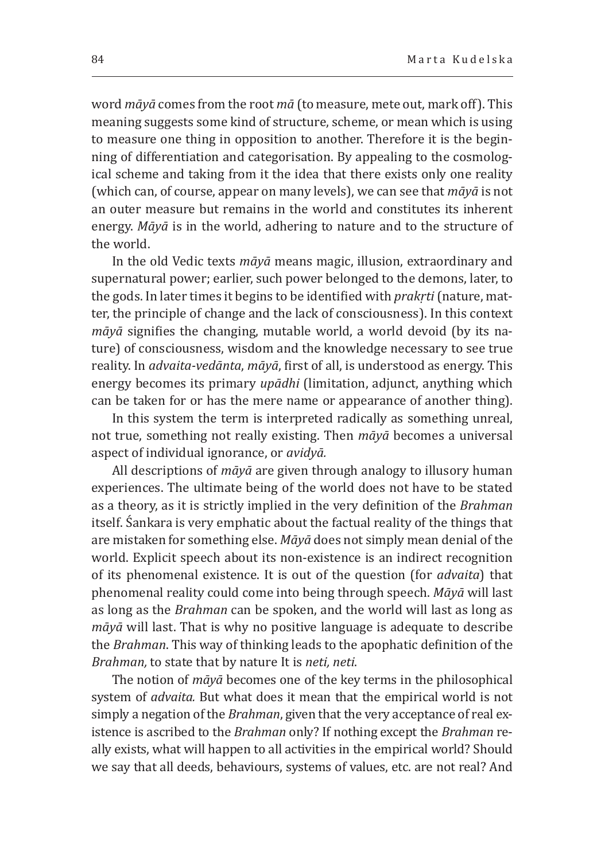word *māyā* comes from the root *mā* (to measure, mete out, mark off). This meaning suggests some kind of structure, scheme, or mean which is using to measure one thing in opposition to another. Therefore it is the beginning of differentiation and categorisation. By appealing to the cosmological scheme and taking from it the idea that there exists only one reality (which can, of course, appear on many levels), we can see that *māyā* is not an outer measure but remains in the world and constitutes its inherent energy. *Māyā* is in the world, adhering to nature and to the structure of the world.

In the old Vedic texts *māyā* means magic, illusion, extraordinary and supernatural power; earlier, such power belonged to the demons, later, to the gods. In later times it begins to be identified with *prakṛti* (nature, matter, the principle of change and the lack of consciousness). In this context *māyā* signifies the changing, mutable world, a world devoid (by its nature) of consciousness, wisdom and the knowledge necessary to see true reality. In *advaita-vedānta*, *māyā*, first of all, is understood as energy. This energy becomes its primary *upādhi* (limitation, adjunct, anything which can be taken for or has the mere name or appearance of another thing).

In this system the term is interpreted radically as something unreal, not true, something not really existing. Then *māyā* becomes a universal aspect of individual ignorance, or *avidyā.*

All descriptions of *māyā* are given through analogy to illusory human experiences. The ultimate being of the world does not have to be stated as a theory, as it is strictly implied in the very definition of the *Brahman* itself. Śankara is very emphatic about the factual reality of the things that are mistaken for something else. *Māyā* does not simply mean denial of the world. Explicit speech about its non-existence is an indirect recognition of its phenomenal existence. It is out of the question (for *advaita*) that phenomenal reality could come into being through speech. *Māyā* will last as long as the *Brahman* can be spoken, and the world will last as long as *māyā* will last. That is why no positive language is adequate to describe the *Brahman*. This way of thinking leads to the apophatic definition of the *Brahman,* to state that by nature It is *neti, neti*.

The notion of *māyā* becomes one of the key terms in the philosophical system of *advaita.* But what does it mean that the empirical world is not simply a negation of the *Brahman*, given that the very acceptance of real existence is ascribed to the *Brahman* only? If nothing except the *Brahman* really exists, what will happen to all activities in the empirical world? Should we say that all deeds, behaviours, systems of values, etc. are not real? And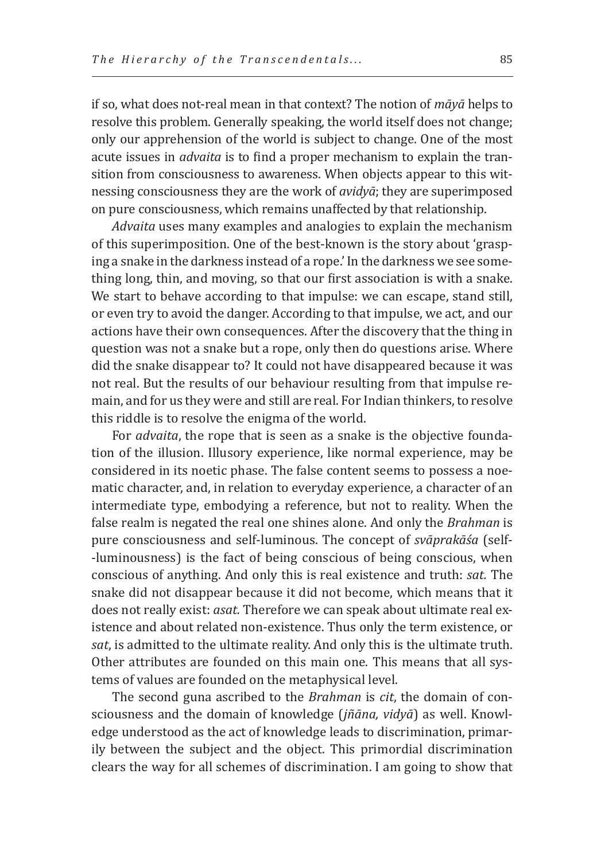if so, what does not-real mean in that context? The notion of *māyā* helps to resolve this problem. Generally speaking, the world itself does not change; only our apprehension of the world is subject to change. One of the most acute issues in *advaita* is to find a proper mechanism to explain the transition from consciousness to awareness. When objects appear to this witnessing consciousness they are the work of *avidyā*; they are superimposed on pure consciousness, which remains unaffected by that relationship.

*Advaita* uses many examples and analogies to explain the mechanism of this superimposition. One of the best-known is the story about 'grasping a snake in the darkness instead of a rope.' In the darkness we see something long, thin, and moving, so that our first association is with a snake. We start to behave according to that impulse: we can escape, stand still, or even try to avoid the danger. According to that impulse, we act, and our actions have their own consequences. After the discovery that the thing in question was not a snake but a rope, only then do questions arise. Where did the snake disappear to? It could not have disappeared because it was not real. But the results of our behaviour resulting from that impulse remain, and for us they were and still are real. For Indian thinkers, to resolve this riddle is to resolve the enigma of the world.

For *advaita*, the rope that is seen as a snake is the objective foundation of the illusion. Illusory experience, like normal experience, may be considered in its noetic phase. The false content seems to possess a noematic character, and, in relation to everyday experience, a character of an intermediate type, embodying a reference, but not to reality. When the false realm is negated the real one shines alone. And only the *Brahman* is pure consciousness and self-luminous. The concept of *svāprakāśa* (self- -luminousness) is the fact of being conscious of being conscious, when conscious of anything. And only this is real existence and truth: *sat.* The snake did not disappear because it did not become, which means that it does not really exist: *asat.* Therefore we can speak about ultimate real existence and about related non-existence. Thus only the term existence, or *sat*, is admitted to the ultimate reality. And only this is the ultimate truth. Other attributes are founded on this main one. This means that all systems of values are founded on the metaphysical level.

The second guna ascribed to the *Brahman* is *cit*, the domain of consciousness and the domain of knowledge (*jñāna, vidyā*) as well. Knowledge understood as the act of knowledge leads to discrimination, primarily between the subject and the object. This primordial discrimination clears the way for all schemes of discrimination. I am going to show that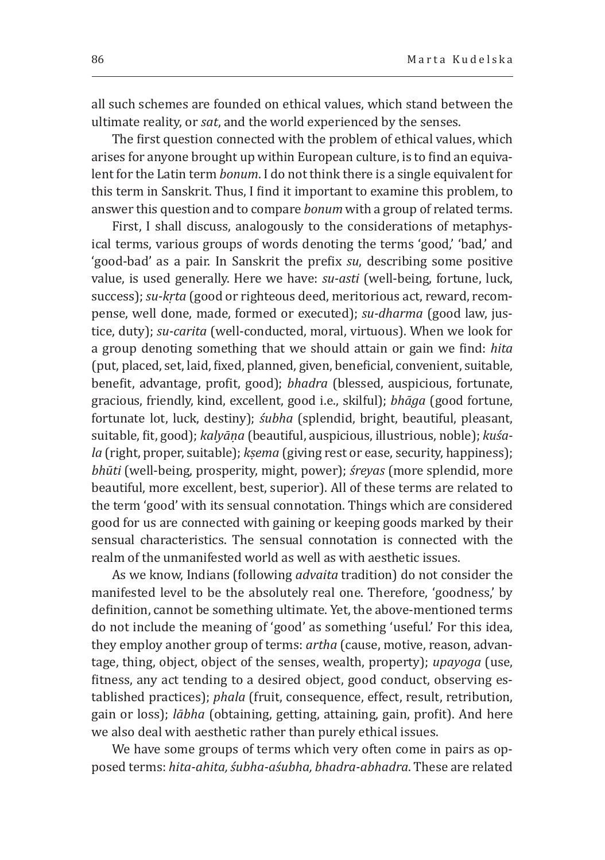all such schemes are founded on ethical values, which stand between the ultimate reality, or *sat*, and the world experienced by the senses.

The first question connected with the problem of ethical values, which arises for anyone brought up within European culture, is to find an equivalent for the Latin term *bonum*. I do not think there is a single equivalent for this term in Sanskrit. Thus, I find it important to examine this problem, to answer this question and to compare *bonum* with a group of related terms.

First, I shall discuss, analogously to the considerations of metaphysical terms, various groups of words denoting the terms 'good,' 'bad,' and 'good-bad' as a pair. In Sanskrit the prefix *su*, describing some positive value, is used generally. Here we have: *su-asti* (well-being, fortune, luck, success); *su-kṛta* (good or righteous deed, meritorious act, reward, recompense, well done, made, formed or executed); *su-dharma* (good law, justice, duty); *su-carita* (well-conducted, moral, virtuous). When we look for a group denoting something that we should attain or gain we find: *hita* (put, placed, set, laid, fixed, planned, given, beneficial, convenient, suitable, benefit, advantage, profit, good); *bhadra* (blessed, auspicious, fortunate, gracious, friendly, kind, excellent, good i.e., skilful); *bhāga* (good fortune, fortunate lot, luck, destiny); *śubha* (splendid, bright, beautiful, pleasant, suitable, fit, good); *kalyāṇa* (beautiful, auspicious, illustrious, noble); *kuśala* (right, proper, suitable); *kṣema* (giving rest or ease, security, happiness); *bhūti* (well-being, prosperity, might, power); *śreyas* (more splendid, more beautiful, more excellent, best, superior). All of these terms are related to the term 'good' with its sensual connotation. Things which are considered good for us are connected with gaining or keeping goods marked by their sensual characteristics. The sensual connotation is connected with the realm of the unmanifested world as well as with aesthetic issues.

As we know, Indians (following *advaita* tradition) do not consider the manifested level to be the absolutely real one. Therefore, 'goodness,' by definition, cannot be something ultimate. Yet, the above-mentioned terms do not include the meaning of 'good' as something 'useful.' For this idea, they employ another group of terms: *artha* (cause, motive, reason, advantage, thing, object, object of the senses, wealth, property); *upayoga* (use, fitness, any act tending to a desired object, good conduct, observing established practices); *phala* (fruit, consequence, effect, result, retribution, gain or loss); *lābha* (obtaining, getting, attaining, gain, profit). And here we also deal with aesthetic rather than purely ethical issues.

We have some groups of terms which very often come in pairs as opposed terms: *hita-ahita, śubha-aśubha, bhadra-abhadra*. These are related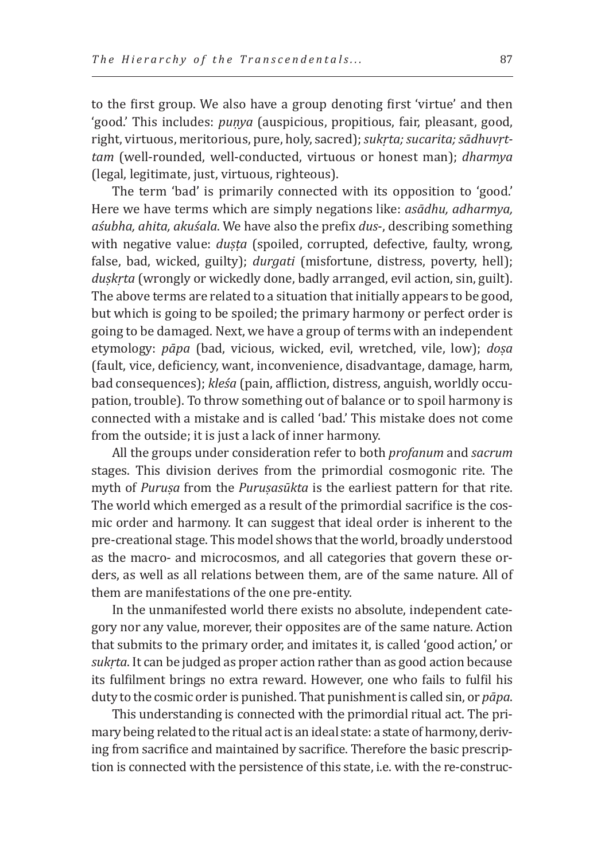to the first group. We also have a group denoting first 'virtue' and then 'good.' This includes: *puṇya* (auspicious, propitious, fair, pleasant, good, right, virtuous, meritorious, pure, holy, sacred); *sukṛta; sucarita; sādhuvṛttam* (well-rounded, well-conducted, virtuous or honest man); *dharmya* (legal, legitimate, just, virtuous, righteous).

The term 'bad' is primarily connected with its opposition to 'good.' Here we have terms which are simply negations like: *asādhu, adharmya, aśubha, ahita, akuśala*. We have also the prefix *dus*-, describing something with negative value: *duṣṭa* (spoiled, corrupted, defective, faulty, wrong, false, bad, wicked, guilty); *durgati* (misfortune, distress, poverty, hell); *duṣkṛta* (wrongly or wickedly done, badly arranged, evil action, sin, guilt). The above terms are related to a situation that initially appears to be good, but which is going to be spoiled; the primary harmony or perfect order is going to be damaged. Next, we have a group of terms with an independent etymology: *pāpa* (bad, vicious, wicked, evil, wretched, vile, low); *doṣa* (fault, vice, deficiency, want, inconvenience, disadvantage, damage, harm, bad consequences); *kleśa* (pain, affliction, distress, anguish, worldly occupation, trouble). To throw something out of balance or to spoil harmony is connected with a mistake and is called 'bad.' This mistake does not come from the outside; it is just a lack of inner harmony.

All the groups under consideration refer to both *profanum* and *sacrum* stages. This division derives from the primordial cosmogonic rite. The myth of *Puruṣa* from the *Puruṣasūkta* is the earliest pattern for that rite. The world which emerged as a result of the primordial sacrifice is the cosmic order and harmony. It can suggest that ideal order is inherent to the pre-creational stage. This model shows that the world, broadly understood as the macro- and microcosmos, and all categories that govern these orders, as well as all relations between them, are of the same nature. All of them are manifestations of the one pre-entity.

In the unmanifested world there exists no absolute, independent category nor any value, morever, their opposites are of the same nature. Action that submits to the primary order, and imitates it, is called 'good action,' or *sukṛta*. It can be judged as proper action rather than as good action because its fulfilment brings no extra reward. However, one who fails to fulfil his duty to the cosmic order is punished. That punishment is called sin, or *pāpa*.

This understanding is connected with the primordial ritual act. The primary being related to the ritual act is an ideal state: a state of harmony, deriving from sacrifice and maintained by sacrifice. Therefore the basic prescription is connected with the persistence of this state, i.e. with the re-construc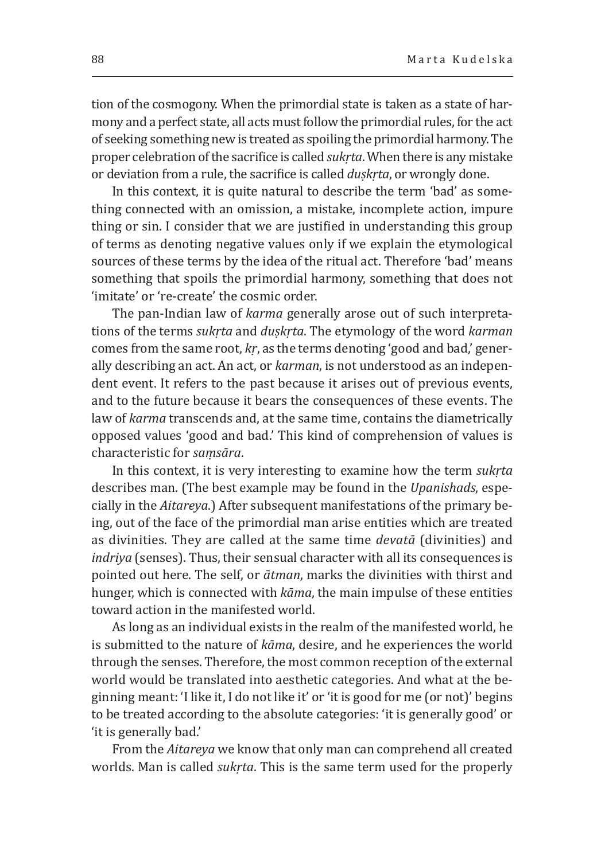tion of the cosmogony. When the primordial state is taken as a state of harmony and a perfect state, all acts must follow the primordial rules, for the act of seeking something new is treated as spoiling the primordial harmony. The proper celebration of the sacrifice is called *sukṛta*. When there is any mistake or deviation from a rule, the sacrifice is called *duṣkṛta*, or wrongly done.

In this context, it is quite natural to describe the term 'bad' as something connected with an omission, a mistake, incomplete action, impure thing or sin. I consider that we are justified in understanding this group of terms as denoting negative values only if we explain the etymological sources of these terms by the idea of the ritual act. Therefore 'bad' means something that spoils the primordial harmony, something that does not 'imitate' or ʻre-create' the cosmic order.

The pan-Indian law of *karma* generally arose out of such interpretations of the terms *sukṛta* and *duṣkṛta*. The etymology of the word *karman* comes from the same root, *kṛ*, as the terms denoting 'good and bad,' generally describing an act. An act, or *karman*, is not understood as an independent event. It refers to the past because it arises out of previous events, and to the future because it bears the consequences of these events. The law of *karma* transcends and, at the same time, contains the diametrically opposed values 'good and bad.' This kind of comprehension of values is characteristic for *saṃsāra*.

In this context, it is very interesting to examine how the term *sukṛta* describes man. (The best example may be found in the *Upanishads*, especially in the *Aitareya*.) After subsequent manifestations of the primary being, out of the face of the primordial man arise entities which are treated as divinities. They are called at the same time *devatā* (divinities) and *indriya* (senses). Thus, their sensual character with all its consequences is pointed out here. The self, or *ātman*, marks the divinities with thirst and hunger, which is connected with *kāma*, the main impulse of these entities toward action in the manifested world.

As long as an individual exists in the realm of the manifested world, he is submitted to the nature of *kāma*, desire, and he experiences the world through the senses. Therefore, the most common reception of the external world would be translated into aesthetic categories. And what at the beginning meant: 'I like it, I do not like it' or 'it is good for me (or not)' begins to be treated according to the absolute categories: 'it is generally good' or 'it is generally bad.'

From the *Aitareya* we know that only man can comprehend all created worlds. Man is called *sukṛta*. This is the same term used for the properly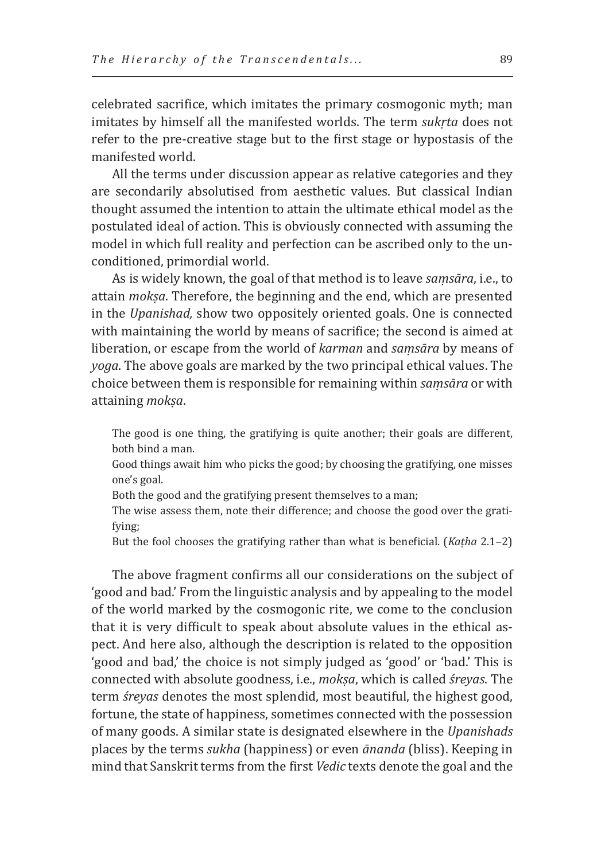celebrated sacrifice, which imitates the primary cosmogonic myth; man imitates by himself all the manifested worlds. The term *sukṛta* does not refer to the pre-creative stage but to the first stage or hypostasis of the manifested world.

All the terms under discussion appear as relative categories and they are secondarily absolutised from aesthetic values. But classical Indian thought assumed the intention to attain the ultimate ethical model as the postulated ideal of action. This is obviously connected with assuming the model in which full reality and perfection can be ascribed only to the unconditioned, primordial world.

As is widely known, the goal of that method is to leave *saṃsāra*, i.e., to attain *mokṣa*. Therefore, the beginning and the end, which are presented in the *Upanishad,* show two oppositely oriented goals. One is connected with maintaining the world by means of sacrifice; the second is aimed at liberation, or escape from the world of *karman* and *saṃsāra* by means of *yoga*. The above goals are marked by the two principal ethical values. The choice between them is responsible for remaining within *saṃsāra* or with attaining *mokṣa*.

The good is one thing, the gratifying is quite another; their goals are different, both bind a man.

Good things await him who picks the good; by choosing the gratifying, one misses one's goal.

Both the good and the gratifying present themselves to a man;

The wise assess them, note their difference; and choose the good over the gratifying;

But the fool chooses the gratifying rather than what is beneficial. (*Kaṭha* 2.1‒2)

The above fragment confirms all our considerations on the subject of 'good and bad.' From the linguistic analysis and by appealing to the model of the world marked by the cosmogonic rite, we come to the conclusion that it is very difficult to speak about absolute values in the ethical aspect. And here also, although the description is related to the opposition 'good and bad,' the choice is not simply judged as 'good' or 'bad.' This is connected with absolute goodness, i.e., *mokṣa*, which is called *śreyas*. The term *śreyas* denotes the most splendid, most beautiful, the highest good, fortune, the state of happiness, sometimes connected with the possession of many goods. A similar state is designated elsewhere in the *Upanishads* places by the terms *sukha* (happiness) or even *ānanda* (bliss). Keeping in mind that Sanskrit terms from the first *Vedic* texts denote the goal and the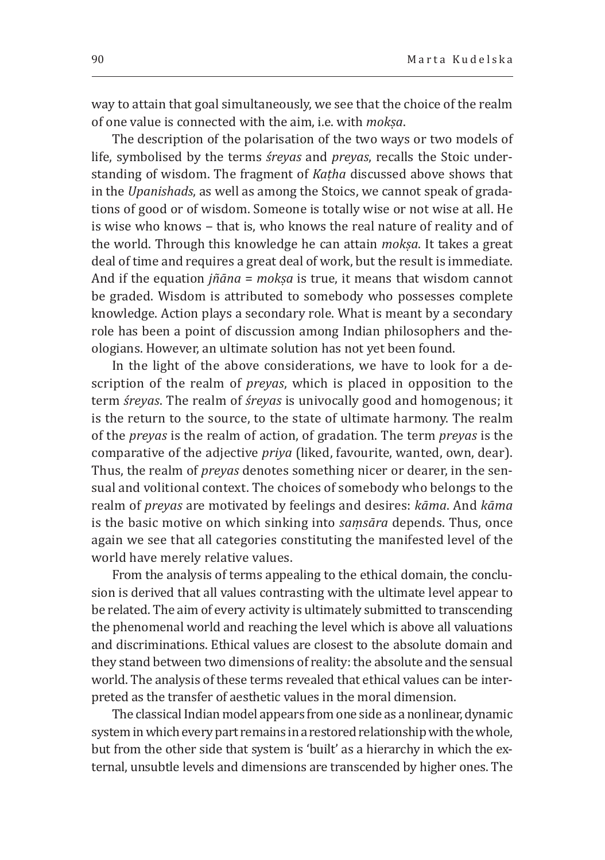way to attain that goal simultaneously, we see that the choice of the realm of one value is connected with the aim, i.e. with *mokṣa*.

The description of the polarisation of the two ways or two models of life, symbolised by the terms *śreyas* and *preyas*, recalls the Stoic understanding of wisdom. The fragment of *Kaṭha* discussed above shows that in the *Upanishads*, as well as among the Stoics, we cannot speak of gradations of good or of wisdom. Someone is totally wise or not wise at all. He is wise who knows – that is, who knows the real nature of reality and of the world. Through this knowledge he can attain *mokṣa*. It takes a great deal of time and requires a great deal of work, but the result is immediate. And if the equation *jñāna* = *mokṣa* is true, it means that wisdom cannot be graded. Wisdom is attributed to somebody who possesses complete knowledge. Action plays a secondary role. What is meant by a secondary role has been a point of discussion among Indian philosophers and theologians. However, an ultimate solution has not yet been found.

In the light of the above considerations, we have to look for a description of the realm of *preyas*, which is placed in opposition to the term *śreyas*. The realm of *śreyas* is univocally good and homogenous; it is the return to the source, to the state of ultimate harmony. The realm of the *preyas* is the realm of action, of gradation. The term *preyas* is the comparative of the adjective *priya* (liked, favourite, wanted, own, dear). Thus, the realm of *preyas* denotes something nicer or dearer, in the sensual and volitional context. The choices of somebody who belongs to the realm of *preyas* are motivated by feelings and desires: *kāma*. And *kāma* is the basic motive on which sinking into *saṃsāra* depends. Thus, once again we see that all categories constituting the manifested level of the world have merely relative values.

From the analysis of terms appealing to the ethical domain, the conclusion is derived that all values contrasting with the ultimate level appear to be related. The aim of every activity is ultimately submitted to transcending the phenomenal world and reaching the level which is above all valuations and discriminations. Ethical values are closest to the absolute domain and they stand between two dimensions of reality: the absolute and the sensual world. The analysis of these terms revealed that ethical values can be interpreted as the transfer of aesthetic values in the moral dimension.

The classical Indian model appears from one side as a nonlinear, dynamic system in which every part remains in a restored relationship with the whole, but from the other side that system is 'built' as a hierarchy in which the external, unsubtle levels and dimensions are transcended by higher ones. The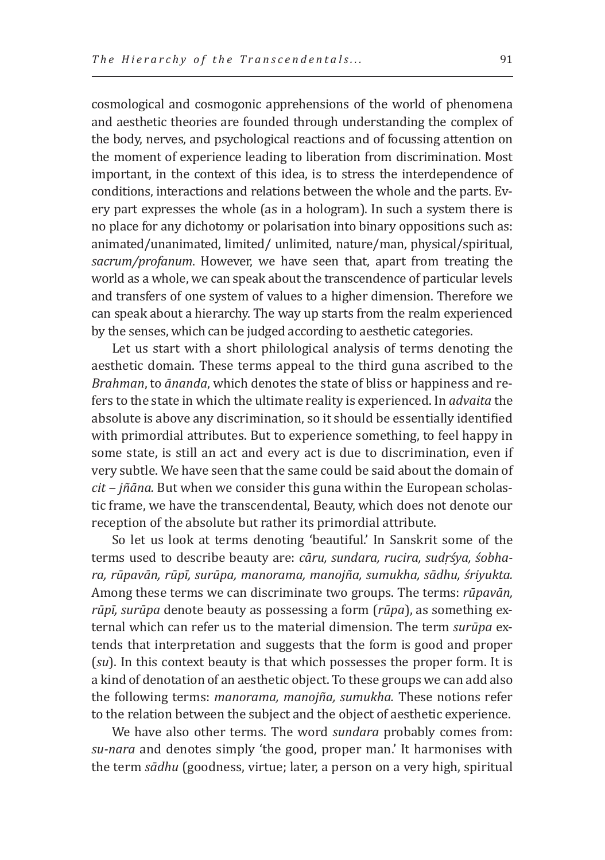cosmological and cosmogonic apprehensions of the world of phenomena and aesthetic theories are founded through understanding the complex of the body, nerves, and psychological reactions and of focussing attention on the moment of experience leading to liberation from discrimination. Most important, in the context of this idea, is to stress the interdependence of conditions, interactions and relations between the whole and the parts. Every part expresses the whole (as in a hologram). In such a system there is no place for any dichotomy or polarisation into binary oppositions such as: animated/unanimated, limited/ unlimited, nature/man, physical/spiritual, *sacrum/profanum*. However, we have seen that, apart from treating the world as a whole, we can speak about the transcendence of particular levels and transfers of one system of values to a higher dimension. Therefore we can speak about a hierarchy. The way up starts from the realm experienced by the senses, which can be judged according to aesthetic categories.

Let us start with a short philological analysis of terms denoting the aesthetic domain. These terms appeal to the third guna ascribed to the *Brahman*, to *ānanda*, which denotes the state of bliss or happiness and refers to the state in which the ultimate reality is experienced. In *advaita* the absolute is above any discrimination, so it should be essentially identified with primordial attributes. But to experience something, to feel happy in some state, is still an act and every act is due to discrimination, even if very subtle. We have seen that the same could be said about the domain of *cit ‒ jñāna.* But when we consider this guna within the European scholastic frame, we have the transcendental, Beauty, which does not denote our reception of the absolute but rather its primordial attribute.

So let us look at terms denoting 'beautiful.' In Sanskrit some of the terms used to describe beauty are: *cāru, sundara, rucira, sudṛśya, śobhara, rūpavān, rūpī, surūpa, manorama, manojña, sumukha, sādhu, śriyukta.* Among these terms we can discriminate two groups. The terms: *rūpavān, rūpī, surūpa* denote beauty as possessing a form (*rūpa*), as something external which can refer us to the material dimension. The term *surūpa* extends that interpretation and suggests that the form is good and proper (*su*). In this context beauty is that which possesses the proper form. It is a kind of denotation of an aesthetic object. To these groups we can add also the following terms: *manorama, manojña, sumukha.* These notions refer to the relation between the subject and the object of aesthetic experience.

We have also other terms. The word *sundara* probably comes from: *su-nara* and denotes simply 'the good, proper man.' It harmonises with the term *sādhu* (goodness, virtue; later, a person on a very high, spiritual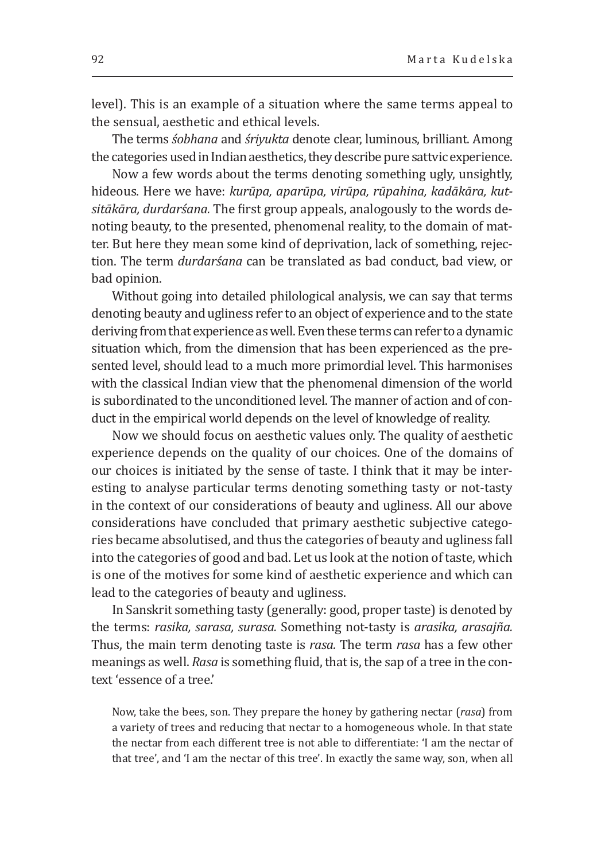level). This is an example of a situation where the same terms appeal to the sensual, aesthetic and ethical levels.

The terms *śobhana* and *śriyukta* denote clear, luminous, brilliant. Among the categories used in Indian aesthetics, they describe pure sattvic experience.

Now a few words about the terms denoting something ugly, unsightly, hideous. Here we have: *kurūpa, aparūpa, virūpa, rūpahina, kadākāra, kutsitākāra, durdarśana.* The first group appeals, analogously to the words denoting beauty, to the presented, phenomenal reality, to the domain of matter. But here they mean some kind of deprivation, lack of something, rejection. The term *durdarśana* can be translated as bad conduct, bad view, or bad opinion.

Without going into detailed philological analysis, we can say that terms denoting beauty and ugliness refer to an object of experience and to the state deriving from that experience as well. Even these terms can refer to a dynamic situation which, from the dimension that has been experienced as the presented level, should lead to a much more primordial level. This harmonises with the classical Indian view that the phenomenal dimension of the world is subordinated to the unconditioned level. The manner of action and of conduct in the empirical world depends on the level of knowledge of reality.

Now we should focus on aesthetic values only. The quality of aesthetic experience depends on the quality of our choices. One of the domains of our choices is initiated by the sense of taste. I think that it may be interesting to analyse particular terms denoting something tasty or not-tasty in the context of our considerations of beauty and ugliness. All our above considerations have concluded that primary aesthetic subjective categories became absolutised, and thus the categories of beauty and ugliness fall into the categories of good and bad. Let us look at the notion of taste, which is one of the motives for some kind of aesthetic experience and which can lead to the categories of beauty and ugliness.

In Sanskrit something tasty (generally: good, proper taste) is denoted by the terms: *rasika, sarasa, surasa.* Something not-tasty is *arasika, arasajña.* Thus, the main term denoting taste is *rasa.* The term *rasa* has a few other meanings as well. *Rasa* is something fluid, that is, the sap of a tree in the context 'essence of a tree.'

Now, take the bees, son. They prepare the honey by gathering nectar (*rasa*) from a variety of trees and reducing that nectar to a homogeneous whole. In that state the nectar from each different tree is not able to differentiate: 'I am the nectar of that tree', and 'I am the nectar of this tree'. In exactly the same way, son, when all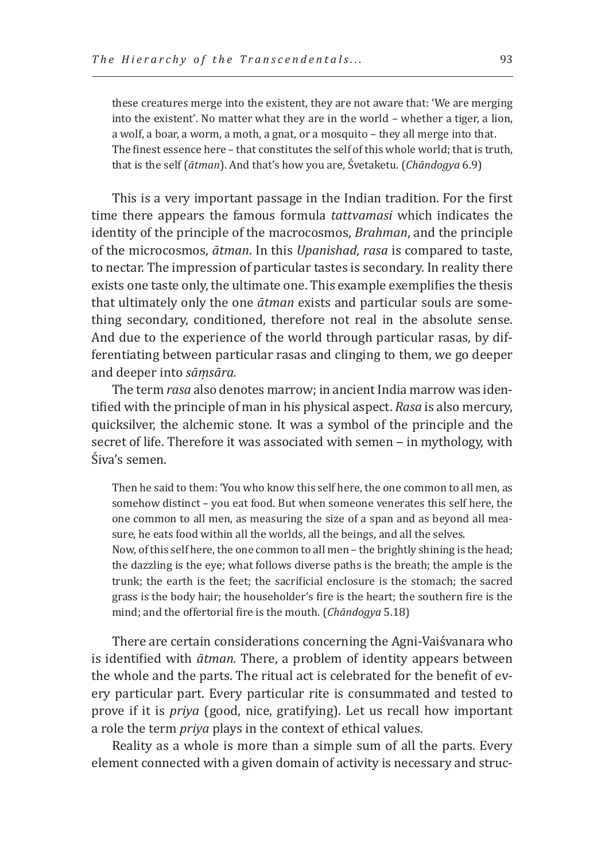these creatures merge into the existent, they are not aware that: 'We are merging into the existent'. No matter what they are in the world – whether a tiger, a lion, a wolf, a boar, a worm, a moth, a gnat, or a mosquito – they all merge into that. The finest essence here – that constitutes the self of this whole world; that is truth, that is the self (*ātman*). And that's how you are, Śvetaketu. (*Chāndogya* 6.9)

This is a very important passage in the Indian tradition. For the first time there appears the famous formula *tattvamasi* which indicates the identity of the principle of the macrocosmos, *Brahman*, and the principle of the microcosmos, *ātman*. In this *Upanishad*, *rasa* is compared to taste, to nectar. The impression of particular tastes is secondary. In reality there exists one taste only, the ultimate one. This example exemplifies the thesis that ultimately only the one *ātman* exists and particular souls are something secondary, conditioned, therefore not real in the absolute sense. And due to the experience of the world through particular rasas, by differentiating between particular rasas and clinging to them, we go deeper and deeper into *sāṃsāra.*

The term *rasa* also denotes marrow; in ancient India marrow was identified with the principle of man in his physical aspect. *Rasa* is also mercury, quicksilver, the alchemic stone. It was a symbol of the principle and the secret of life. Therefore it was associated with semen - in mythology, with Śiva's semen.

Then he said to them: 'You who know this self here, the one common to all men, as somehow distinct – you eat food. But when someone venerates this self here, the one common to all men, as measuring the size of a span and as beyond all measure, he eats food within all the worlds, all the beings, and all the selves.

Now, of this self here, the one common to all men – the brightly shining is the head; the dazzling is the eye; what follows diverse paths is the breath; the ample is the trunk; the earth is the feet; the sacrificial enclosure is the stomach; the sacred grass is the body hair; the householder's fire is the heart; the southern fire is the mind; and the offertorial fire is the mouth. (*Chāndogya* 5.18)

There are certain considerations concerning the Agni-Vaiśvanara who is identified with *ātman.* There, a problem of identity appears between the whole and the parts. The ritual act is celebrated for the benefit of every particular part. Every particular rite is consummated and tested to prove if it is *priya* (good, nice, gratifying). Let us recall how important a role the term *priya* plays in the context of ethical values.

Reality as a whole is more than a simple sum of all the parts. Every element connected with a given domain of activity is necessary and struc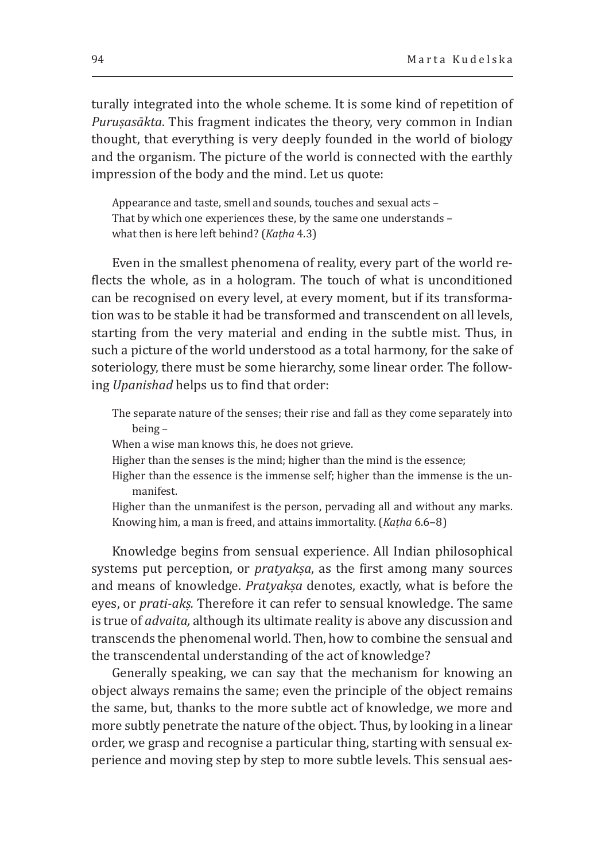turally integrated into the whole scheme. It is some kind of repetition of *Puruṣasākta*. This fragment indicates the theory, very common in Indian thought, that everything is very deeply founded in the world of biology and the organism. The picture of the world is connected with the earthly impression of the body and the mind. Let us quote:

Appearance and taste, smell and sounds, touches and sexual acts – That by which one experiences these, by the same one understands – what then is here left behind? (*Kaṭha* 4.3)

Even in the smallest phenomena of reality, every part of the world reflects the whole, as in a hologram. The touch of what is unconditioned can be recognised on every level, at every moment, but if its transformation was to be stable it had be transformed and transcendent on all levels, starting from the very material and ending in the subtle mist. Thus, in such a picture of the world understood as a total harmony, for the sake of soteriology, there must be some hierarchy, some linear order. The following *Upanishad* helps us to find that order:

The separate nature of the senses; their rise and fall as they come separately into being –

When a wise man knows this, he does not grieve.

Higher than the senses is the mind; higher than the mind is the essence;

Higher than the essence is the immense self; higher than the immense is the unmanifest.

Higher than the unmanifest is the person, pervading all and without any marks. Knowing him, a man is freed, and attains immortality. (*Kaṭha* 6.6‒8)

Knowledge begins from sensual experience. All Indian philosophical systems put perception, or *pratyakṣa*, as the first among many sources and means of knowledge. *Pratyakṣa* denotes, exactly, what is before the eyes, or *prati-akṣ.* Therefore it can refer to sensual knowledge. The same is true of *advaita,* although its ultimate reality is above any discussion and transcends the phenomenal world. Then, how to combine the sensual and the transcendental understanding of the act of knowledge?

Generally speaking, we can say that the mechanism for knowing an object always remains the same; even the principle of the object remains the same, but, thanks to the more subtle act of knowledge, we more and more subtly penetrate the nature of the object. Thus, by looking in a linear order, we grasp and recognise a particular thing, starting with sensual experience and moving step by step to more subtle levels. This sensual aes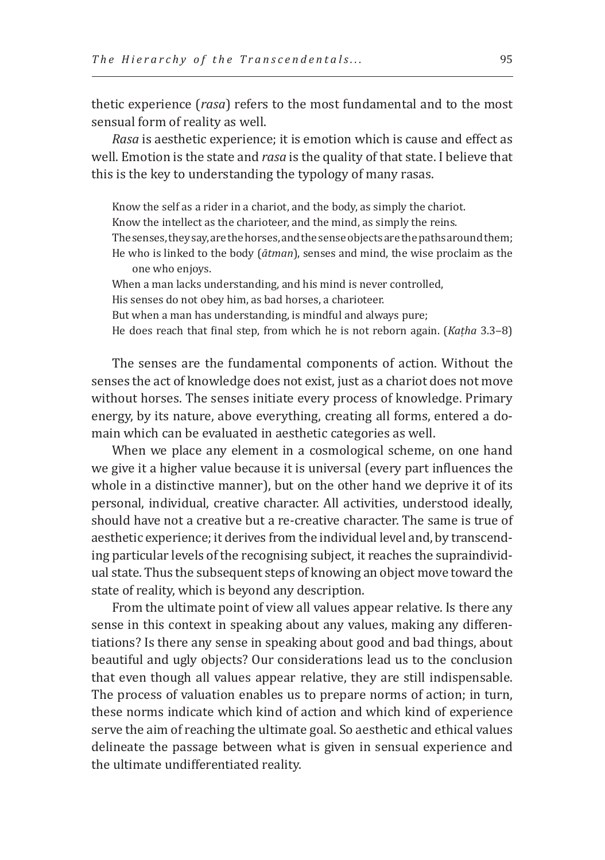thetic experience (*rasa*) refers to the most fundamental and to the most sensual form of reality as well.

*Rasa* is aesthetic experience; it is emotion which is cause and effect as well. Emotion is the state and *rasa* is the quality of that state. I believe that this is the key to understanding the typology of many rasas.

Know the self as a rider in a chariot, and the body, as simply the chariot. Know the intellect as the charioteer, and the mind, as simply the reins. The senses, they say, are the horses, and the sense objects are the paths around them; He who is linked to the body (*ātman*), senses and mind, the wise proclaim as the one who enjoys.

When a man lacks understanding, and his mind is never controlled, His senses do not obey him, as bad horses, a charioteer. But when a man has understanding, is mindful and always pure; He does reach that final step, from which he is not reborn again. (*Kaṭha* 3.3‒8)

The senses are the fundamental components of action. Without the senses the act of knowledge does not exist, just as a chariot does not move without horses. The senses initiate every process of knowledge. Primary energy, by its nature, above everything, creating all forms, entered a domain which can be evaluated in aesthetic categories as well.

When we place any element in a cosmological scheme, on one hand we give it a higher value because it is universal (every part influences the whole in a distinctive manner), but on the other hand we deprive it of its personal, individual, creative character. All activities, understood ideally, should have not a creative but a re-creative character. The same is true of aesthetic experience; it derives from the individual level and, by transcending particular levels of the recognising subject, it reaches the supraindividual state. Thus the subsequent steps of knowing an object move toward the state of reality, which is beyond any description.

From the ultimate point of view all values appear relative. Is there any sense in this context in speaking about any values, making any differentiations? Is there any sense in speaking about good and bad things, about beautiful and ugly objects? Our considerations lead us to the conclusion that even though all values appear relative, they are still indispensable. The process of valuation enables us to prepare norms of action; in turn, these norms indicate which kind of action and which kind of experience serve the aim of reaching the ultimate goal. So aesthetic and ethical values delineate the passage between what is given in sensual experience and the ultimate undifferentiated reality.